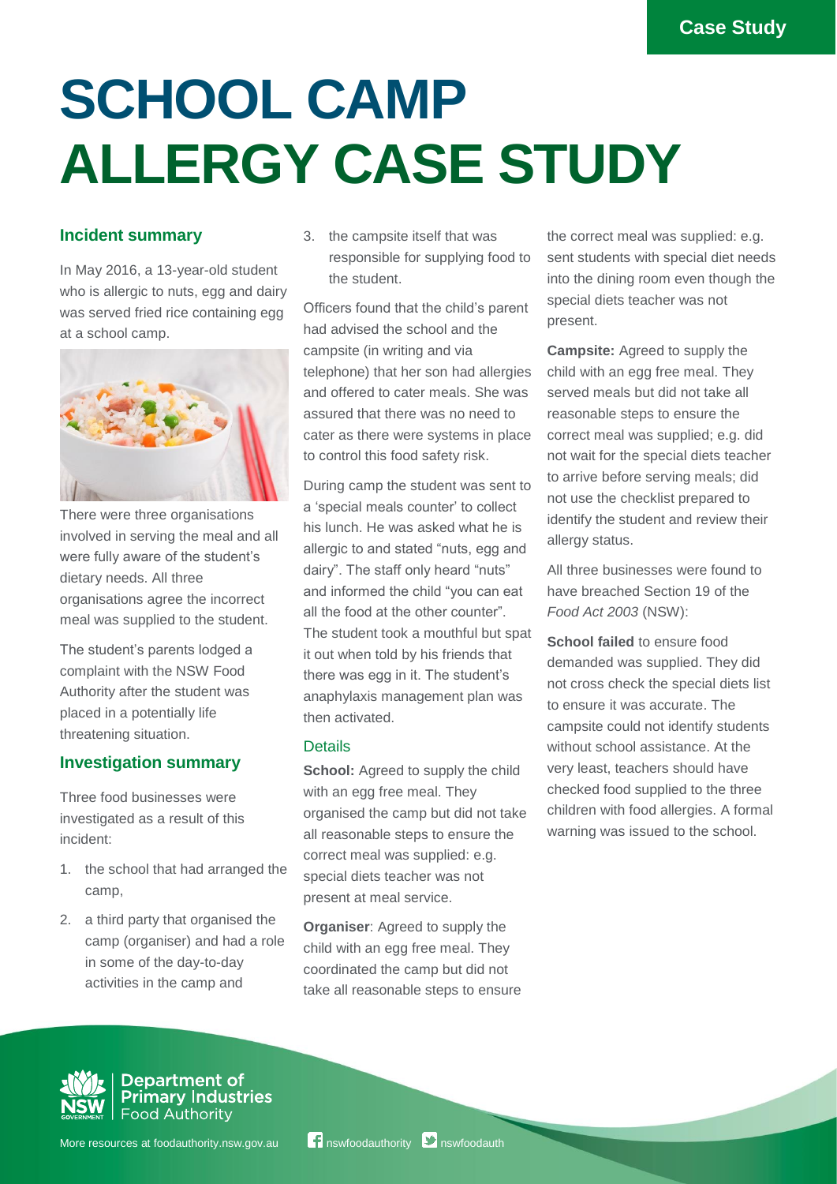# **SCHOOL CAMP ALLERGY CASE STUDY**

## **Incident summary**

In May 2016, a 13-year-old student who is allergic to nuts, egg and dairy was served fried rice containing egg at a school camp.



There were three organisations involved in serving the meal and all were fully aware of the student's dietary needs. All three organisations agree the incorrect meal was supplied to the student.

The student's parents lodged a complaint with the NSW Food Authority after the student was placed in a potentially life threatening situation.

## **Investigation summary**

Three food businesses were investigated as a result of this incident:

- 1. the school that had arranged the camp,
- 2. a third party that organised the camp (organiser) and had a role in some of the day-to-day activities in the camp and

3. the campsite itself that was responsible for supplying food to the student.

Officers found that the child's parent had advised the school and the campsite (in writing and via telephone) that her son had allergies and offered to cater meals. She was assured that there was no need to cater as there were systems in place to control this food safety risk.

During camp the student was sent to a 'special meals counter' to collect his lunch. He was asked what he is allergic to and stated "nuts, egg and dairy". The staff only heard "nuts" and informed the child "you can eat all the food at the other counter". The student took a mouthful but spat it out when told by his friends that there was egg in it. The student's anaphylaxis management plan was then activated.

#### **Details**

**School:** Agreed to supply the child with an egg free meal. They organised the camp but did not take all reasonable steps to ensure the correct meal was supplied: e.g. special diets teacher was not present at meal service.

**Organiser**: Agreed to supply the child with an egg free meal. They coordinated the camp but did not take all reasonable steps to ensure the correct meal was supplied: e.g. sent students with special diet needs into the dining room even though the special diets teacher was not present.

**Campsite:** Agreed to supply the child with an egg free meal. They served meals but did not take all reasonable steps to ensure the correct meal was supplied; e.g. did not wait for the special diets teacher to arrive before serving meals; did not use the checklist prepared to identify the student and review their allergy status.

All three businesses were found to have breached Section 19 of the *Food Act 2003* (NSW):

**School failed** to ensure food demanded was supplied. They did not cross check the special diets list to ensure it was accurate. The campsite could not identify students without school assistance. At the very least, teachers should have checked food supplied to the three children with food allergies. A formal warning was issued to the school.



Department of **Primary Industries Food Authority**